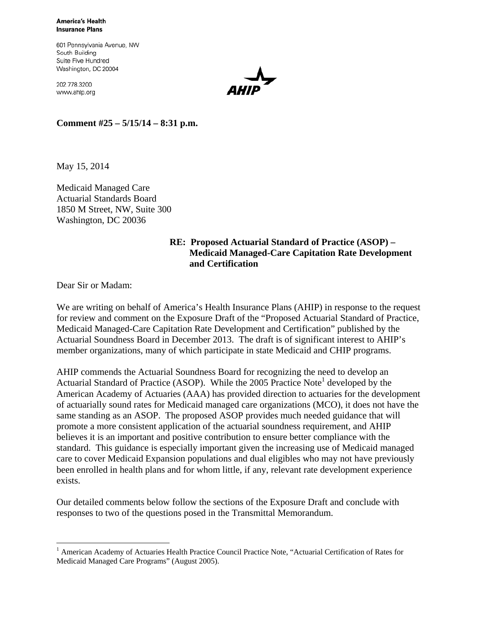**America's Health Insurance Plans** 

601 Pennsylvania Avenue, NW South Building Suite Five Hundred Washington, DC 20004

202.778.3200 www.ahip.org

**Comment #25 – 5/15/14 – 8:31 p.m.** 

May 15, 2014

Medicaid Managed Care Actuarial Standards Board 1850 M Street, NW, Suite 300 Washington, DC 20036

## **RE: Proposed Actuarial Standard of Practice (ASOP) – Medicaid Managed-Care Capitation Rate Development and Certification**

Dear Sir or Madam:

 $\overline{a}$ 

We are writing on behalf of America's Health Insurance Plans (AHIP) in response to the request for review and comment on the Exposure Draft of the "Proposed Actuarial Standard of Practice, Medicaid Managed-Care Capitation Rate Development and Certification" published by the Actuarial Soundness Board in December 2013. The draft is of significant interest to AHIP's member organizations, many of which participate in state Medicaid and CHIP programs.

AHIP commends the Actuarial Soundness Board for recognizing the need to develop an Actuarial Standard of Practice (ASOP). While the  $2005$  Practice Note<sup>1</sup> developed by the American Academy of Actuaries (AAA) has provided direction to actuaries for the development of actuarially sound rates for Medicaid managed care organizations (MCO), it does not have the same standing as an ASOP. The proposed ASOP provides much needed guidance that will promote a more consistent application of the actuarial soundness requirement, and AHIP believes it is an important and positive contribution to ensure better compliance with the standard. This guidance is especially important given the increasing use of Medicaid managed care to cover Medicaid Expansion populations and dual eligibles who may not have previously been enrolled in health plans and for whom little, if any, relevant rate development experience exists.

Our detailed comments below follow the sections of the Exposure Draft and conclude with responses to two of the questions posed in the Transmittal Memorandum.

<sup>&</sup>lt;sup>1</sup> American Academy of Actuaries Health Practice Council Practice Note, "Actuarial Certification of Rates for Medicaid Managed Care Programs" (August 2005).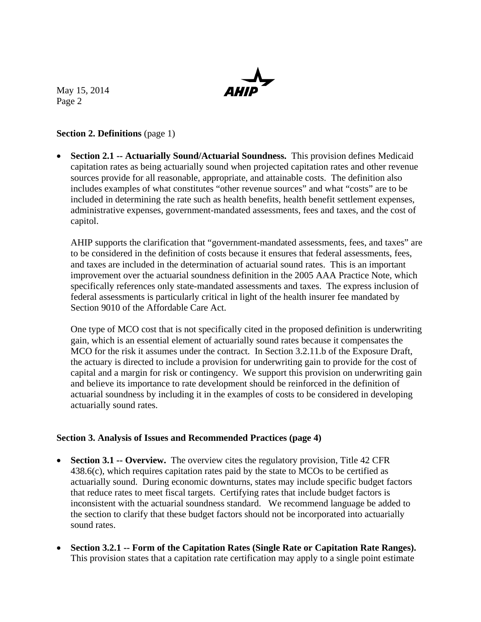

## **Section 2. Definitions** (page 1)

 **Section 2.1 -- Actuarially Sound/Actuarial Soundness.** This provision defines Medicaid capitation rates as being actuarially sound when projected capitation rates and other revenue sources provide for all reasonable, appropriate, and attainable costs. The definition also includes examples of what constitutes "other revenue sources" and what "costs" are to be included in determining the rate such as health benefits, health benefit settlement expenses, administrative expenses, government-mandated assessments, fees and taxes, and the cost of capitol.

AHIP supports the clarification that "government-mandated assessments, fees, and taxes" are to be considered in the definition of costs because it ensures that federal assessments, fees, and taxes are included in the determination of actuarial sound rates. This is an important improvement over the actuarial soundness definition in the 2005 AAA Practice Note, which specifically references only state-mandated assessments and taxes. The express inclusion of federal assessments is particularly critical in light of the health insurer fee mandated by Section 9010 of the Affordable Care Act.

One type of MCO cost that is not specifically cited in the proposed definition is underwriting gain, which is an essential element of actuarially sound rates because it compensates the MCO for the risk it assumes under the contract. In Section 3.2.11.b of the Exposure Draft, the actuary is directed to include a provision for underwriting gain to provide for the cost of capital and a margin for risk or contingency. We support this provision on underwriting gain and believe its importance to rate development should be reinforced in the definition of actuarial soundness by including it in the examples of costs to be considered in developing actuarially sound rates.

## **Section 3. Analysis of Issues and Recommended Practices (page 4)**

- **Section 3.1 -- Overview.** The overview cites the regulatory provision, Title 42 CFR 438.6(c), which requires capitation rates paid by the state to MCOs to be certified as actuarially sound. During economic downturns, states may include specific budget factors that reduce rates to meet fiscal targets. Certifying rates that include budget factors is inconsistent with the actuarial soundness standard. We recommend language be added to the section to clarify that these budget factors should not be incorporated into actuarially sound rates.
- **Section 3.2.1 -- Form of the Capitation Rates (Single Rate or Capitation Rate Ranges).**  This provision states that a capitation rate certification may apply to a single point estimate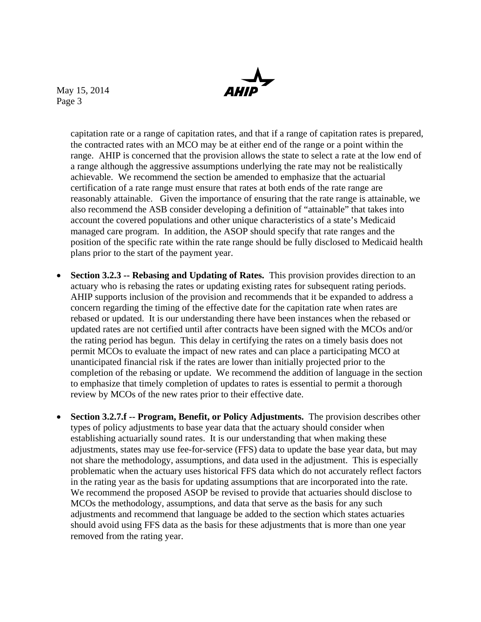> capitation rate or a range of capitation rates, and that if a range of capitation rates is prepared, the contracted rates with an MCO may be at either end of the range or a point within the range. AHIP is concerned that the provision allows the state to select a rate at the low end of a range although the aggressive assumptions underlying the rate may not be realistically achievable. We recommend the section be amended to emphasize that the actuarial certification of a rate range must ensure that rates at both ends of the rate range are reasonably attainable. Given the importance of ensuring that the rate range is attainable, we also recommend the ASB consider developing a definition of "attainable" that takes into account the covered populations and other unique characteristics of a state's Medicaid managed care program. In addition, the ASOP should specify that rate ranges and the position of the specific rate within the rate range should be fully disclosed to Medicaid health plans prior to the start of the payment year.

- **Section 3.2.3 -- Rebasing and Updating of Rates.** This provision provides direction to an actuary who is rebasing the rates or updating existing rates for subsequent rating periods. AHIP supports inclusion of the provision and recommends that it be expanded to address a concern regarding the timing of the effective date for the capitation rate when rates are rebased or updated. It is our understanding there have been instances when the rebased or updated rates are not certified until after contracts have been signed with the MCOs and/or the rating period has begun. This delay in certifying the rates on a timely basis does not permit MCOs to evaluate the impact of new rates and can place a participating MCO at unanticipated financial risk if the rates are lower than initially projected prior to the completion of the rebasing or update. We recommend the addition of language in the section to emphasize that timely completion of updates to rates is essential to permit a thorough review by MCOs of the new rates prior to their effective date.
- **Section 3.2.7.f -- Program, Benefit, or Policy Adjustments.** The provision describes other types of policy adjustments to base year data that the actuary should consider when establishing actuarially sound rates. It is our understanding that when making these adjustments, states may use fee-for-service (FFS) data to update the base year data, but may not share the methodology, assumptions, and data used in the adjustment. This is especially problematic when the actuary uses historical FFS data which do not accurately reflect factors in the rating year as the basis for updating assumptions that are incorporated into the rate. We recommend the proposed ASOP be revised to provide that actuaries should disclose to MCOs the methodology, assumptions, and data that serve as the basis for any such adjustments and recommend that language be added to the section which states actuaries should avoid using FFS data as the basis for these adjustments that is more than one year removed from the rating year.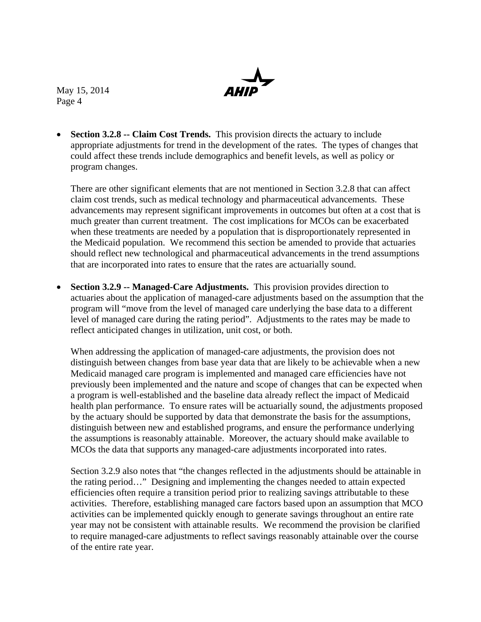• Section 3.2.8 -- Claim Cost Trends. This provision directs the actuary to include appropriate adjustments for trend in the development of the rates. The types of changes that could affect these trends include demographics and benefit levels, as well as policy or program changes.

There are other significant elements that are not mentioned in Section 3.2.8 that can affect claim cost trends, such as medical technology and pharmaceutical advancements. These advancements may represent significant improvements in outcomes but often at a cost that is much greater than current treatment. The cost implications for MCOs can be exacerbated when these treatments are needed by a population that is disproportionately represented in the Medicaid population. We recommend this section be amended to provide that actuaries should reflect new technological and pharmaceutical advancements in the trend assumptions that are incorporated into rates to ensure that the rates are actuarially sound.

 **Section 3.2.9 -- Managed-Care Adjustments.** This provision provides direction to actuaries about the application of managed-care adjustments based on the assumption that the program will "move from the level of managed care underlying the base data to a different level of managed care during the rating period". Adjustments to the rates may be made to reflect anticipated changes in utilization, unit cost, or both.

When addressing the application of managed-care adjustments, the provision does not distinguish between changes from base year data that are likely to be achievable when a new Medicaid managed care program is implemented and managed care efficiencies have not previously been implemented and the nature and scope of changes that can be expected when a program is well-established and the baseline data already reflect the impact of Medicaid health plan performance. To ensure rates will be actuarially sound, the adjustments proposed by the actuary should be supported by data that demonstrate the basis for the assumptions, distinguish between new and established programs, and ensure the performance underlying the assumptions is reasonably attainable. Moreover, the actuary should make available to MCOs the data that supports any managed-care adjustments incorporated into rates.

Section 3.2.9 also notes that "the changes reflected in the adjustments should be attainable in the rating period…" Designing and implementing the changes needed to attain expected efficiencies often require a transition period prior to realizing savings attributable to these activities. Therefore, establishing managed care factors based upon an assumption that MCO activities can be implemented quickly enough to generate savings throughout an entire rate year may not be consistent with attainable results. We recommend the provision be clarified to require managed-care adjustments to reflect savings reasonably attainable over the course of the entire rate year.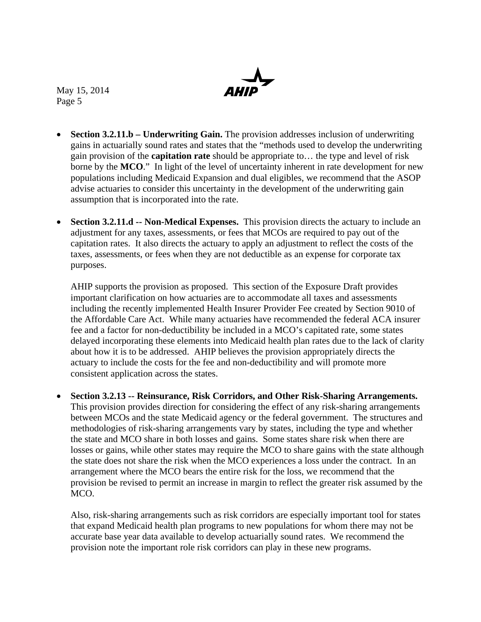- **Section 3.2.11.b Underwriting Gain.** The provision addresses inclusion of underwriting gains in actuarially sound rates and states that the "methods used to develop the underwriting gain provision of the **capitation rate** should be appropriate to… the type and level of risk borne by the **MCO**." In light of the level of uncertainty inherent in rate development for new populations including Medicaid Expansion and dual eligibles, we recommend that the ASOP advise actuaries to consider this uncertainty in the development of the underwriting gain assumption that is incorporated into the rate.
- **Section 3.2.11.d -- Non-Medical Expenses.** This provision directs the actuary to include an adjustment for any taxes, assessments, or fees that MCOs are required to pay out of the capitation rates. It also directs the actuary to apply an adjustment to reflect the costs of the taxes, assessments, or fees when they are not deductible as an expense for corporate tax purposes.

AHIP supports the provision as proposed. This section of the Exposure Draft provides important clarification on how actuaries are to accommodate all taxes and assessments including the recently implemented Health Insurer Provider Fee created by Section 9010 of the Affordable Care Act. While many actuaries have recommended the federal ACA insurer fee and a factor for non-deductibility be included in a MCO's capitated rate, some states delayed incorporating these elements into Medicaid health plan rates due to the lack of clarity about how it is to be addressed. AHIP believes the provision appropriately directs the actuary to include the costs for the fee and non-deductibility and will promote more consistent application across the states.

 **Section 3.2.13 -- Reinsurance, Risk Corridors, and Other Risk-Sharing Arrangements.** This provision provides direction for considering the effect of any risk-sharing arrangements between MCOs and the state Medicaid agency or the federal government. The structures and methodologies of risk-sharing arrangements vary by states, including the type and whether the state and MCO share in both losses and gains. Some states share risk when there are losses or gains, while other states may require the MCO to share gains with the state although the state does not share the risk when the MCO experiences a loss under the contract. In an arrangement where the MCO bears the entire risk for the loss, we recommend that the provision be revised to permit an increase in margin to reflect the greater risk assumed by the MCO.

Also, risk-sharing arrangements such as risk corridors are especially important tool for states that expand Medicaid health plan programs to new populations for whom there may not be accurate base year data available to develop actuarially sound rates. We recommend the provision note the important role risk corridors can play in these new programs.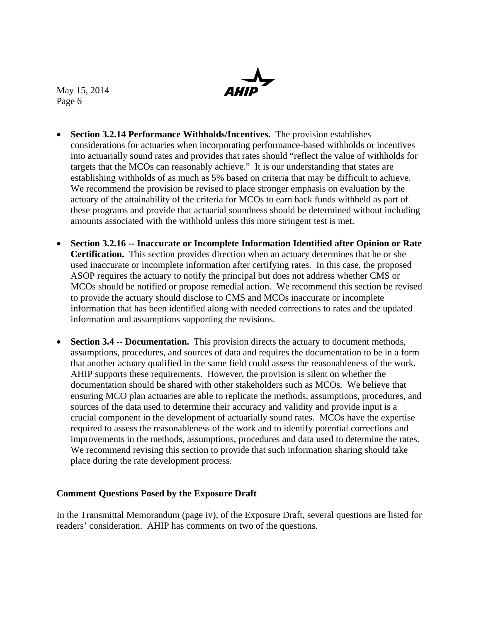

- **Section 3.2.14 Performance Withholds/Incentives.** The provision establishes considerations for actuaries when incorporating performance-based withholds or incentives into actuarially sound rates and provides that rates should "reflect the value of withholds for targets that the MCOs can reasonably achieve." It is our understanding that states are establishing withholds of as much as 5% based on criteria that may be difficult to achieve. We recommend the provision be revised to place stronger emphasis on evaluation by the actuary of the attainability of the criteria for MCOs to earn back funds withheld as part of these programs and provide that actuarial soundness should be determined without including amounts associated with the withhold unless this more stringent test is met.
- **Section 3.2.16 -- Inaccurate or Incomplete Information Identified after Opinion or Rate Certification.** This section provides direction when an actuary determines that he or she used inaccurate or incomplete information after certifying rates. In this case, the proposed ASOP requires the actuary to notify the principal but does not address whether CMS or MCOs should be notified or propose remedial action. We recommend this section be revised to provide the actuary should disclose to CMS and MCOs inaccurate or incomplete information that has been identified along with needed corrections to rates and the updated information and assumptions supporting the revisions.
- **Section 3.4 -- Documentation.** This provision directs the actuary to document methods, assumptions, procedures, and sources of data and requires the documentation to be in a form that another actuary qualified in the same field could assess the reasonableness of the work. AHIP supports these requirements. However, the provision is silent on whether the documentation should be shared with other stakeholders such as MCOs. We believe that ensuring MCO plan actuaries are able to replicate the methods, assumptions, procedures, and sources of the data used to determine their accuracy and validity and provide input is a crucial component in the development of actuarially sound rates. MCOs have the expertise required to assess the reasonableness of the work and to identify potential corrections and improvements in the methods, assumptions, procedures and data used to determine the rates. We recommend revising this section to provide that such information sharing should take place during the rate development process.

## **Comment Questions Posed by the Exposure Draft**

In the Transmittal Memorandum (page iv), of the Exposure Draft, several questions are listed for readers' consideration. AHIP has comments on two of the questions.